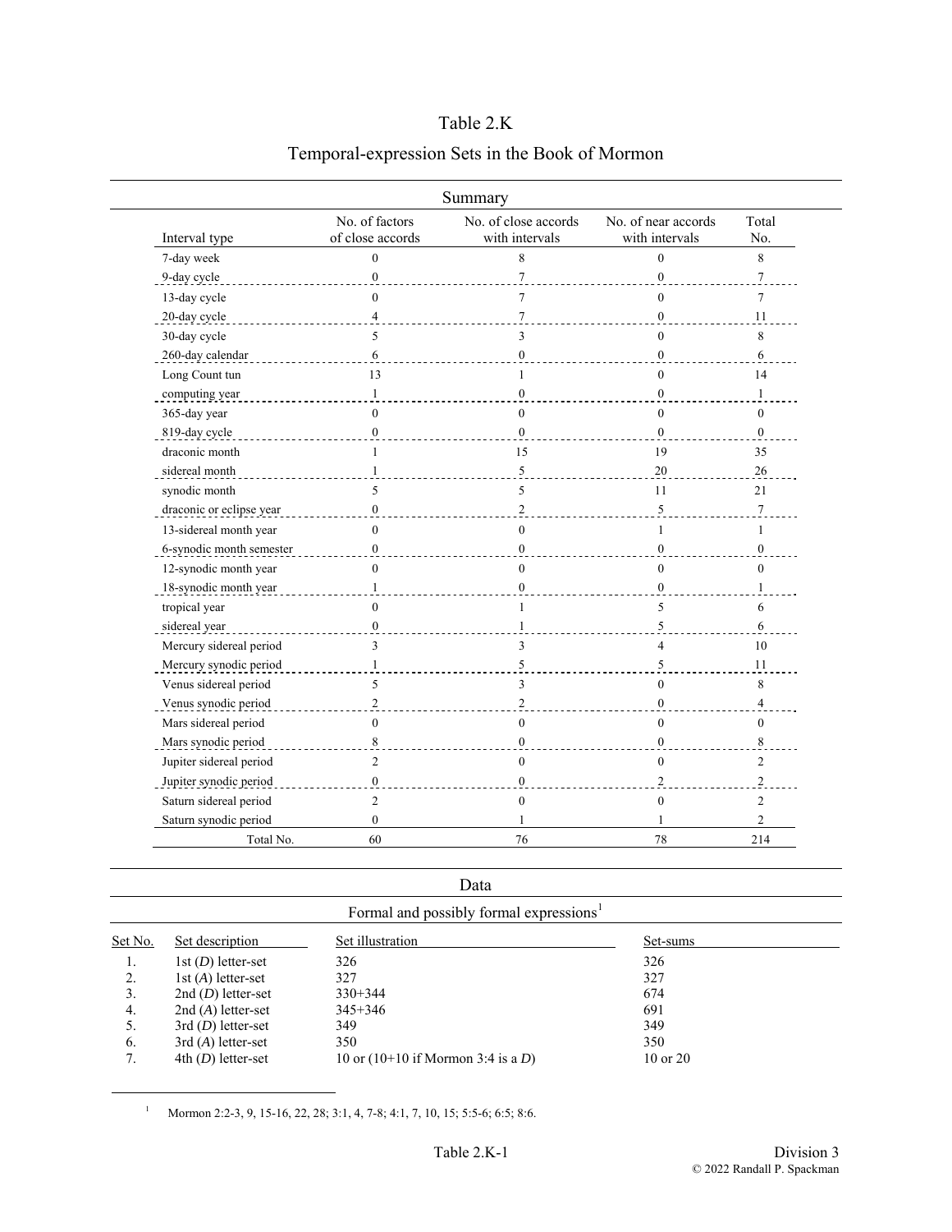## Table 2.K

|                                    | Summary                                |                                       |                  |
|------------------------------------|----------------------------------------|---------------------------------------|------------------|
| No. of factors<br>of close accords | No. of close accords<br>with intervals | No. of near accords<br>with intervals | Total<br>No.     |
| $\theta$                           | 8                                      | $\theta$                              | 8                |
| $\mathbf{0}$                       | $\overline{7}$                         | $\mathbf{0}$                          | $\tau$           |
| $\theta$                           | $\tau$                                 | $\theta$                              | $\overline{7}$   |
| $\overline{\mathcal{L}}$           | $\tau$                                 | $\Omega$                              | 11               |
| 5                                  | 3                                      | $\Omega$                              | 8                |
| 6                                  | $\boldsymbol{0}$                       | $\mathbf{0}$                          | 6                |
| 13                                 | 1                                      | $\theta$                              | 14               |
| $\mathbf{1}$                       | $\boldsymbol{0}$                       | $\mathbf{0}$                          | $\mathbf{1}$     |
| $\theta$                           | $\theta$                               | $\Omega$                              | $\Omega$         |
| $\mathbf{0}$                       | $\mathbf{0}$                           | $\Omega$                              | $\overline{0}$   |
| 1                                  | 15                                     | 19                                    | 35               |
| $\mathbf{1}$                       | $\sqrt{5}$                             | 20                                    | 26               |
| 5                                  | 5                                      | 11                                    | 21               |
| $\mathbf{0}$                       | $\overline{c}$                         | 5                                     | $\boldsymbol{7}$ |
| $\mathbf{0}$                       | $\mathbf{0}$                           | $\mathbf{1}$                          | $\mathbf{1}$     |
| $\theta$                           | $\theta$                               | $\Omega$                              | $\theta$         |
| $\mathbf{0}$                       | $\theta$                               | $\theta$                              | $\theta$         |
| 1                                  | $\mathbf{0}$                           | $\mathbf{0}$                          | 1                |
| $\theta$                           | $\mathbf{1}$                           | 5                                     | 6                |
| $\boldsymbol{0}$                   | $\mathbf{1}$                           | 5                                     | 6                |
| 3                                  | 3                                      | 4                                     | 10               |
| $\mathbf{1}$                       | $\sqrt{5}$                             | 5                                     | 11               |
| 5                                  | 3                                      | $\theta$                              | 8                |
| $\overline{2}$                     | $\overline{c}$                         | $\Omega$                              | $\overline{4}$   |
| $\mathbf{0}$                       | $\boldsymbol{0}$                       | $\theta$                              | $\mathbf{0}$     |
| 8                                  | $\mathbf{0}$                           | $\theta$                              | $\,$ 8 $\,$      |
| $\overline{2}$                     | $\overline{0}$                         | $\theta$                              | $\overline{2}$   |
| $\mathbf{0}$                       | $\mathbf{0}$                           | $\overline{2}$                        | $\overline{c}$   |
| 2                                  | $\mathbf{0}$                           | $\mathbf{0}$                          | 2                |
| $\mathbf{0}$                       |                                        |                                       | $\overline{c}$   |
| 60                                 | 76                                     | 78                                    |                  |

## Temporal-expression Sets in the Book of Mormon

|         |                                                     | Data                                  |              |  |  |  |
|---------|-----------------------------------------------------|---------------------------------------|--------------|--|--|--|
|         | Formal and possibly formal expressions <sup>1</sup> |                                       |              |  |  |  |
| Set No. | Set description                                     | Set illustration                      | Set-sums     |  |  |  |
| 1.      | $1st(D)$ letter-set                                 | 326                                   | 326          |  |  |  |
| 2.      | 1st $(A)$ letter-set                                | 327                                   | 327          |  |  |  |
| 3.      | $2nd(D)$ letter-set                                 | $330+344$                             | 674          |  |  |  |
| 4.      | $2nd(A)$ letter-set                                 | $345 + 346$                           | 691          |  |  |  |
| 5.      | $3rd(D)$ letter-set                                 | 349                                   | 349          |  |  |  |
| 6.      | $3rd(A)$ letter-set                                 | 350                                   | 350          |  |  |  |
| 7.      | $4th$ (D) letter-set                                | 10 or $(10+10)$ if Mormon 3:4 is a D) | $10$ or $20$ |  |  |  |

<sup>1</sup> Mormon 2:2-3, 9, 15-16, 22, 28; 3:1, 4, 7-8; 4:1, 7, 10, 15; 5:5-6; 6:5; 8:6.

<span id="page-0-0"></span>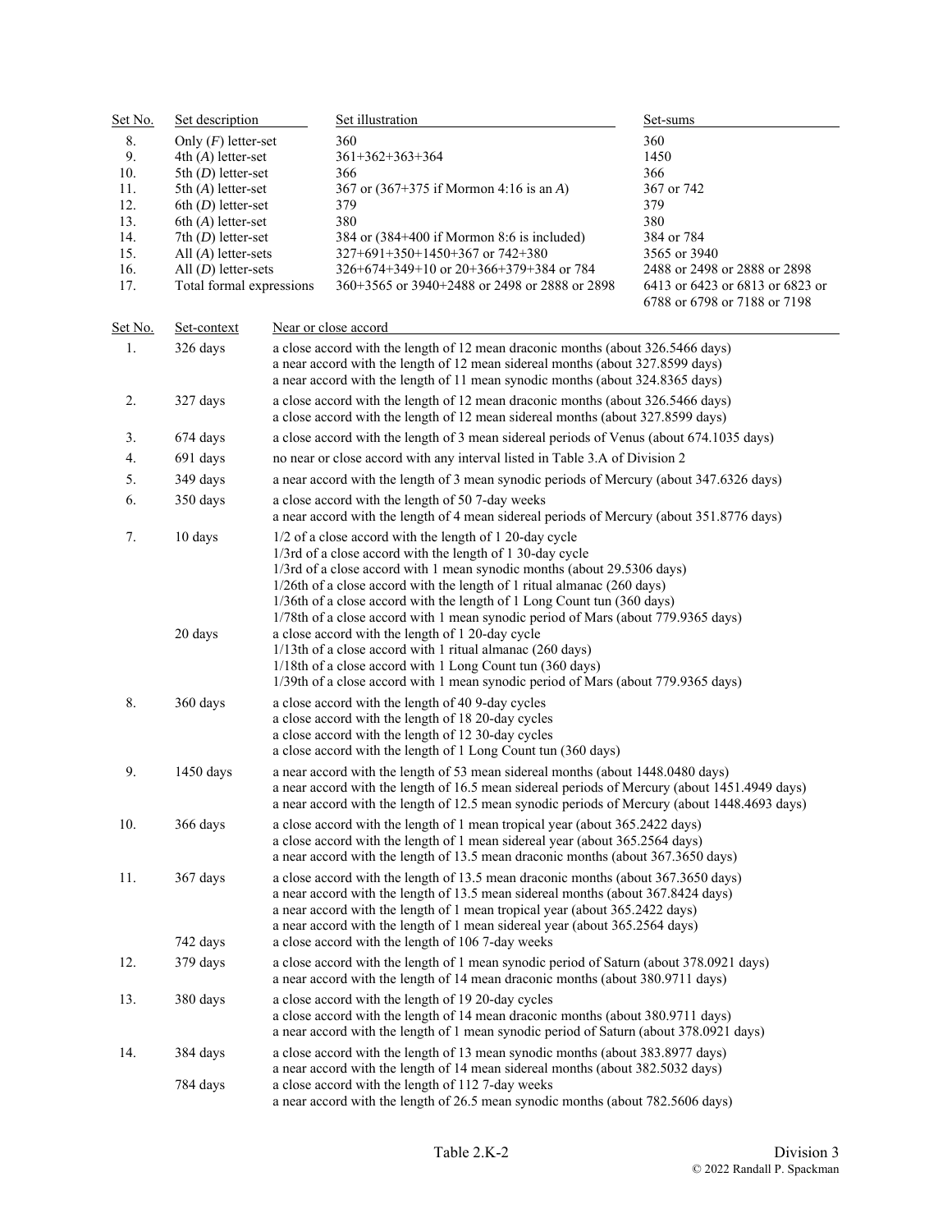| Set No. | Set description          |                                                                                                                                                                                                                                                                                                                                                                                          | Set illustration                                                                                                                                                          | Set-sums                                                        |  |
|---------|--------------------------|------------------------------------------------------------------------------------------------------------------------------------------------------------------------------------------------------------------------------------------------------------------------------------------------------------------------------------------------------------------------------------------|---------------------------------------------------------------------------------------------------------------------------------------------------------------------------|-----------------------------------------------------------------|--|
| 8.      | Only $(F)$ letter-set    |                                                                                                                                                                                                                                                                                                                                                                                          | 360                                                                                                                                                                       | 360                                                             |  |
| 9.      | $4th(A)$ letter-set      |                                                                                                                                                                                                                                                                                                                                                                                          | $361+362+363+364$                                                                                                                                                         | 1450                                                            |  |
| 10.     | 5th $(D)$ letter-set     |                                                                                                                                                                                                                                                                                                                                                                                          | 366                                                                                                                                                                       | 366                                                             |  |
| 11.     | 5th $(A)$ letter-set     |                                                                                                                                                                                                                                                                                                                                                                                          | 367 or (367+375 if Mormon 4:16 is an A)                                                                                                                                   | 367 or 742                                                      |  |
| 12.     | $6th$ (D) letter-set     |                                                                                                                                                                                                                                                                                                                                                                                          | 379                                                                                                                                                                       | 379                                                             |  |
| 13.     | $6th(A)$ letter-set      |                                                                                                                                                                                                                                                                                                                                                                                          | 380                                                                                                                                                                       | 380                                                             |  |
| 14.     | 7th $(D)$ letter-set     |                                                                                                                                                                                                                                                                                                                                                                                          | 384 or (384+400 if Mormon 8:6 is included)                                                                                                                                | 384 or 784                                                      |  |
| 15.     | All $(A)$ letter-sets    |                                                                                                                                                                                                                                                                                                                                                                                          | $327+691+350+1450+367$ or $742+380$                                                                                                                                       | 3565 or 3940                                                    |  |
| 16.     | All $(D)$ letter-sets    |                                                                                                                                                                                                                                                                                                                                                                                          | $326+674+349+10$ or $20+366+379+384$ or 784                                                                                                                               | 2488 or 2498 or 2888 or 2898                                    |  |
| 17.     | Total formal expressions |                                                                                                                                                                                                                                                                                                                                                                                          | 360+3565 or 3940+2488 or 2498 or 2888 or 2898                                                                                                                             | 6413 or 6423 or 6813 or 6823 or<br>6788 or 6798 or 7188 or 7198 |  |
| Set No. | Set-context              |                                                                                                                                                                                                                                                                                                                                                                                          | Near or close accord                                                                                                                                                      |                                                                 |  |
| 1.      | 326 days                 |                                                                                                                                                                                                                                                                                                                                                                                          | a close accord with the length of 12 mean draconic months (about 326.5466 days)                                                                                           |                                                                 |  |
|         |                          |                                                                                                                                                                                                                                                                                                                                                                                          | a near accord with the length of 12 mean sidereal months (about 327.8599 days)<br>a near accord with the length of 11 mean synodic months (about 324.8365 days)           |                                                                 |  |
| 2.      | 327 days                 |                                                                                                                                                                                                                                                                                                                                                                                          | a close accord with the length of 12 mean draconic months (about 326.5466 days)                                                                                           |                                                                 |  |
|         |                          |                                                                                                                                                                                                                                                                                                                                                                                          | a close accord with the length of 12 mean sidereal months (about 327.8599 days)                                                                                           |                                                                 |  |
| 3.      | 674 days                 |                                                                                                                                                                                                                                                                                                                                                                                          | a close accord with the length of 3 mean sidereal periods of Venus (about 674.1035 days)                                                                                  |                                                                 |  |
| 4.      | 691 days                 |                                                                                                                                                                                                                                                                                                                                                                                          | no near or close accord with any interval listed in Table 3.A of Division 2                                                                                               |                                                                 |  |
| 5.      | 349 days                 |                                                                                                                                                                                                                                                                                                                                                                                          | a near accord with the length of 3 mean synodic periods of Mercury (about 347.6326 days)                                                                                  |                                                                 |  |
| 6.      | 350 days                 | a close accord with the length of 50 7-day weeks<br>a near accord with the length of 4 mean sidereal periods of Mercury (about 351.8776 days)                                                                                                                                                                                                                                            |                                                                                                                                                                           |                                                                 |  |
| 7.      | 10 days                  | 1/2 of a close accord with the length of 1 20-day cycle<br>1/3rd of a close accord with the length of 1 30-day cycle<br>1/3rd of a close accord with 1 mean synodic months (about 29.5306 days)<br>1/26th of a close accord with the length of 1 ritual almanac (260 days)<br>1/36th of a close accord with the length of 1 Long Count tun (360 days)                                    |                                                                                                                                                                           |                                                                 |  |
|         | 20 days                  | 1/78th of a close accord with 1 mean synodic period of Mars (about 779.9365 days)<br>a close accord with the length of 1 20-day cycle<br>1/13th of a close accord with 1 ritual almanac (260 days)<br>1/18th of a close accord with 1 Long Count tun (360 days)<br>1/39th of a close accord with 1 mean synodic period of Mars (about 779.9365 days)                                     |                                                                                                                                                                           |                                                                 |  |
| 8.      | 360 days                 | a close accord with the length of 40 9-day cycles<br>a close accord with the length of 18 20-day cycles<br>a close accord with the length of 12 30-day cycles<br>a close accord with the length of 1 Long Count tun (360 days)                                                                                                                                                           |                                                                                                                                                                           |                                                                 |  |
| 9.      | 1450 days                | a near accord with the length of 53 mean sidereal months (about 1448.0480 days)<br>a near accord with the length of 16.5 mean sidereal periods of Mercury (about 1451.4949 days)<br>a near accord with the length of 12.5 mean synodic periods of Mercury (about 1448.4693 days)                                                                                                         |                                                                                                                                                                           |                                                                 |  |
| 10.     | 366 days                 | a close accord with the length of 1 mean tropical year (about 365.2422 days)<br>a close accord with the length of 1 mean sidereal year (about 365.2564 days)<br>a near accord with the length of 13.5 mean draconic months (about 367.3650 days)                                                                                                                                         |                                                                                                                                                                           |                                                                 |  |
| 11.     | 367 days                 | a close accord with the length of 13.5 mean draconic months (about 367.3650 days)<br>a near accord with the length of 13.5 mean sidereal months (about 367.8424 days)<br>a near accord with the length of 1 mean tropical year (about 365.2422 days)<br>a near accord with the length of 1 mean sidereal year (about 365.2564 days)<br>a close accord with the length of 106 7-day weeks |                                                                                                                                                                           |                                                                 |  |
|         | 742 days                 |                                                                                                                                                                                                                                                                                                                                                                                          |                                                                                                                                                                           |                                                                 |  |
| 12.     | 379 days                 |                                                                                                                                                                                                                                                                                                                                                                                          | a close accord with the length of 1 mean synodic period of Saturn (about 378.0921 days)<br>a near accord with the length of 14 mean draconic months (about 380.9711 days) |                                                                 |  |
| 13.     | 380 days                 | a close accord with the length of 19 20-day cycles<br>a close accord with the length of 14 mean draconic months (about 380.9711 days)<br>a near accord with the length of 1 mean synodic period of Saturn (about 378.0921 days)                                                                                                                                                          |                                                                                                                                                                           |                                                                 |  |
| 14.     | 384 days                 |                                                                                                                                                                                                                                                                                                                                                                                          | a close accord with the length of 13 mean synodic months (about 383.8977 days)<br>a near accord with the length of 14 mean sidereal months (about 382.5032 days)          |                                                                 |  |
|         | 784 days                 |                                                                                                                                                                                                                                                                                                                                                                                          | a close accord with the length of 112 7-day weeks<br>a near accord with the length of 26.5 mean synodic months (about 782.5606 days)                                      |                                                                 |  |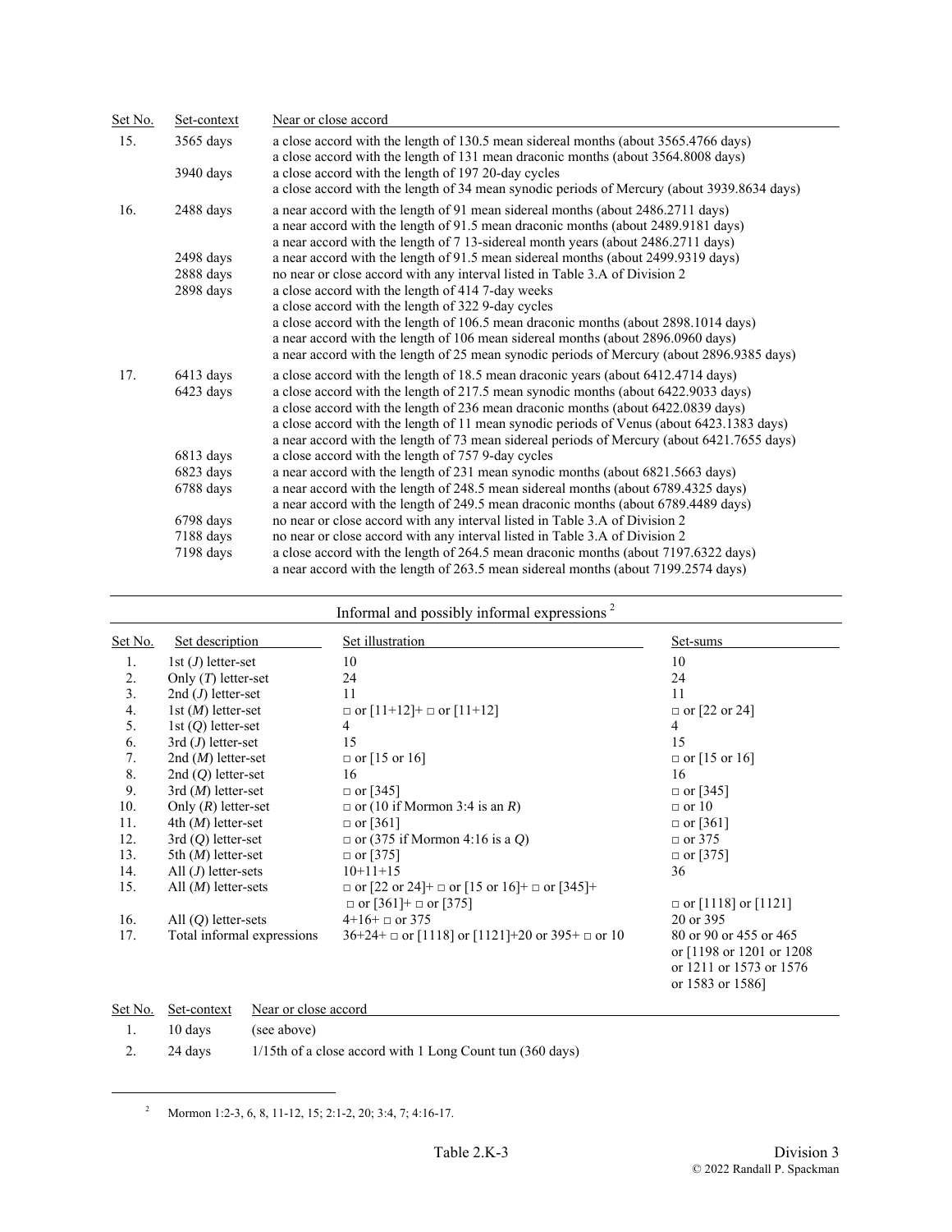| Set No. | Set-context | Near or close accord                                                                                                                                                                                                                                      |
|---------|-------------|-----------------------------------------------------------------------------------------------------------------------------------------------------------------------------------------------------------------------------------------------------------|
| 15.     | $3565$ days | a close accord with the length of 130.5 mean sidereal months (about 3565.4766 days)<br>a close accord with the length of 131 mean draconic months (about 3564.8008 days)                                                                                  |
|         | $3940$ days | a close accord with the length of 197 20-day cycles                                                                                                                                                                                                       |
|         |             | a close accord with the length of 34 mean synodic periods of Mercury (about 3939.8634 days)                                                                                                                                                               |
| 16.     | 2488 days   | a near accord with the length of 91 mean sidereal months (about 2486.2711 days)<br>a near accord with the length of 91.5 mean draconic months (about 2489.9181 days)<br>a near accord with the length of 7 13-sidereal month years (about 2486.2711 days) |
|         | $2498$ days | a near accord with the length of 91.5 mean sidereal months (about 2499.9319 days)                                                                                                                                                                         |
|         | 2888 days   | no near or close accord with any interval listed in Table 3.A of Division 2                                                                                                                                                                               |
|         | $2898$ days | a close accord with the length of 414 7-day weeks                                                                                                                                                                                                         |
|         |             | a close accord with the length of 322 9-day cycles                                                                                                                                                                                                        |
|         |             | a close accord with the length of 106.5 mean draconic months (about 2898.1014 days)                                                                                                                                                                       |
|         |             | a near accord with the length of 106 mean sidereal months (about 2896.0960 days)<br>a near accord with the length of 25 mean synodic periods of Mercury (about 2896.9385 days)                                                                            |
| 17.     | $6413$ days | a close accord with the length of 18.5 mean draconic years (about 6412.4714 days)                                                                                                                                                                         |
|         | 6423 days   | a close accord with the length of 217.5 mean synodic months (about 6422.9033 days)                                                                                                                                                                        |
|         |             | a close accord with the length of 236 mean draconic months (about 6422.0839 days)                                                                                                                                                                         |
|         |             | a close accord with the length of 11 mean synodic periods of Venus (about 6423.1383 days)<br>a near accord with the length of 73 mean sidereal periods of Mercury (about 6421.7655 days)                                                                  |
|         | $6813$ days | a close accord with the length of 757 9-day cycles                                                                                                                                                                                                        |
|         | 6823 days   | a near accord with the length of 231 mean synodic months (about 6821.5663 days)                                                                                                                                                                           |
|         | 6788 days   | a near accord with the length of 248.5 mean sidereal months (about 6789.4325 days)                                                                                                                                                                        |
|         |             | a near accord with the length of 249.5 mean draconic months (about 6789.4489 days)                                                                                                                                                                        |
|         | $6798$ days | no near or close accord with any interval listed in Table 3.A of Division 2                                                                                                                                                                               |
|         | 7188 days   | no near or close accord with any interval listed in Table 3.A of Division 2                                                                                                                                                                               |
|         | 7198 days   | a close accord with the length of 264.5 mean draconic months (about 7197.6322 days)                                                                                                                                                                       |
|         |             | a near accord with the length of 263.5 mean sidereal months (about 7199.2574 days)                                                                                                                                                                        |

|         |                            | Informal and possibly informal expressions <sup>2</sup>                                          |                                                                                                    |
|---------|----------------------------|--------------------------------------------------------------------------------------------------|----------------------------------------------------------------------------------------------------|
| Set No. | Set description            | Set illustration                                                                                 | Set-sums                                                                                           |
| 1.      | 1st $(J)$ letter-set       | 10                                                                                               | 10                                                                                                 |
| 2.      | Only $(T)$ letter-set      | 24                                                                                               | 24                                                                                                 |
| 3.      | 2nd $(J)$ letter-set       | 11                                                                                               | 11                                                                                                 |
| 4.      | 1st $(M)$ letter-set       | $\Box$ or $[11+12]$ + $\Box$ or $[11+12]$                                                        | $\Box$ or [22 or 24]                                                                               |
| 5.      | 1st $(Q)$ letter-set       | 4                                                                                                | $\overline{4}$                                                                                     |
| 6.      | $3rd(J)$ letter-set        | 15                                                                                               | 15                                                                                                 |
| 7.      | 2nd $(M)$ letter-set       | $\Box$ or [15 or 16]                                                                             | $\Box$ or [15 or 16]                                                                               |
| 8.      | 2nd $(Q)$ letter-set       | 16                                                                                               | 16                                                                                                 |
| 9.      | $3rd(M)$ letter-set        | $\Box$ or [345]                                                                                  | $\Box$ or [345]                                                                                    |
| 10.     | Only $(R)$ letter-set      | $\Box$ or (10 if Mormon 3:4 is an R)                                                             | $\Box$ or 10                                                                                       |
| 11.     | 4th $(M)$ letter-set       | $\Box$ or [361]                                                                                  | $\Box$ or [361]                                                                                    |
| 12.     | $3rd(Q)$ letter-set        | $\Box$ or (375 if Mormon 4:16 is a Q)                                                            | $\Box$ or 375                                                                                      |
| 13.     | 5th $(M)$ letter-set       | $\Box$ or [375]                                                                                  | $\Box$ or [375]                                                                                    |
| 14.     | All $(J)$ letter-sets      | $10+11+15$                                                                                       | 36                                                                                                 |
| 15.     | All $(M)$ letter-sets      | $\Box$ or [22 or 24]+ $\Box$ or [15 or 16]+ $\Box$ or [345]+<br>$\Box$ or [361]+ $\Box$ or [375] | $\Box$ or [1118] or [1121]                                                                         |
| 16.     | All $(O)$ letter-sets      | $4+16+$ or 375                                                                                   | 20 or 395                                                                                          |
| 17.     | Total informal expressions | $36+24+$ or [1118] or [1121]+20 or 395+ or 10                                                    | 80 or 90 or 455 or 465<br>or [1198 or 1201 or 1208]<br>or 1211 or 1573 or 1576<br>or 1583 or 1586] |

|              |                     | Set No. Set-context Near or close accord                  |
|--------------|---------------------|-----------------------------------------------------------|
| $\mathbf{1}$ | 10 days (see above) |                                                           |
|              | 24 davs             | 1/15th of a close accord with 1 Long Count tun (360 days) |

 $\mu^2$  Mormon 1:2-3, 6, 8, 11-12, 15; 2:1-2, 20; 3:4, 7; 4:16-17.

<span id="page-2-0"></span>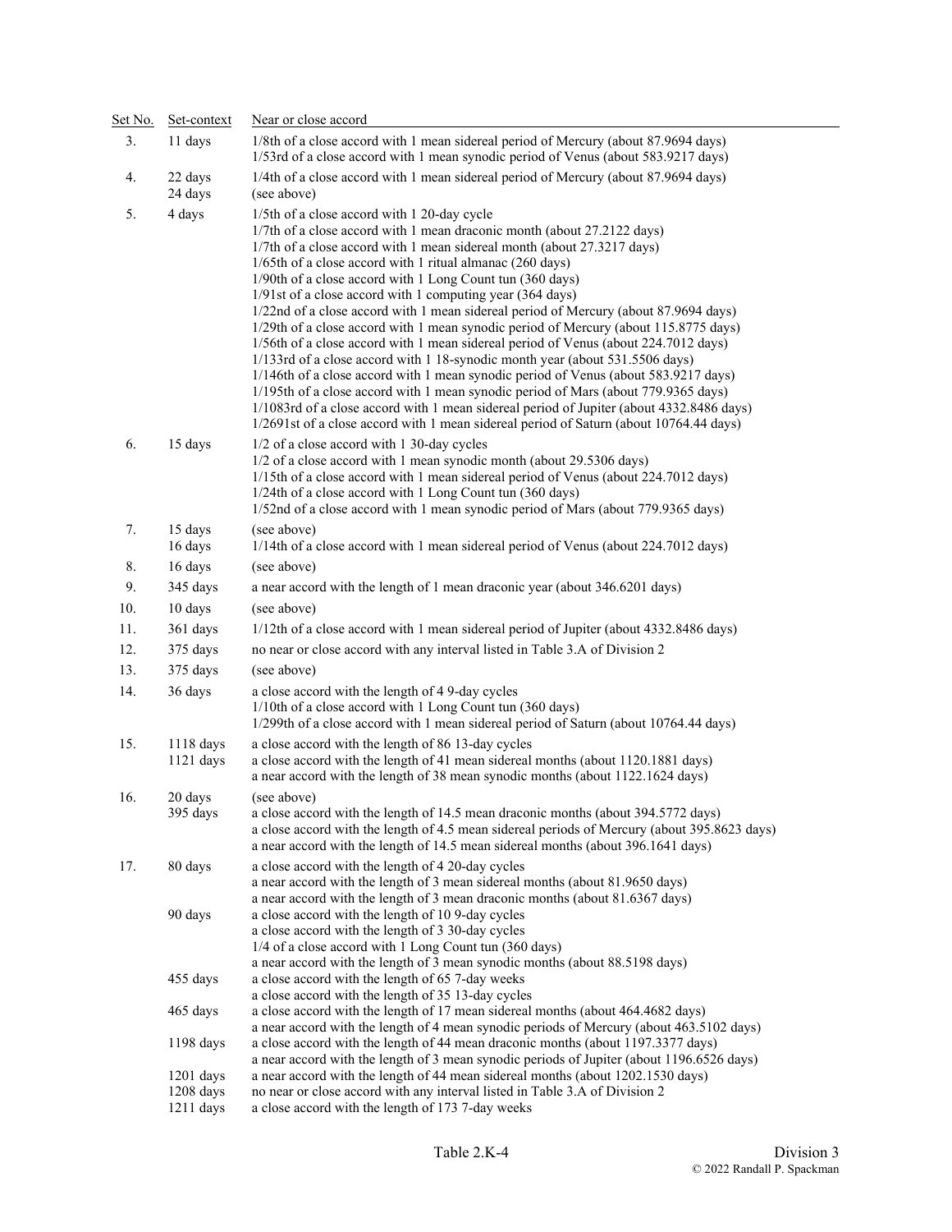| Set No.<br>3 <sub>1</sub> | Set-context<br>11 days           | Near or close accord<br>1/8th of a close accord with 1 mean sidereal period of Mercury (about 87.9694 days)                                                                                                                                                                                                                                                                                                                                                                                                                                                                                                                                                                                                                                                                                                                                                                                                                                                                                                                                                                                                        |  |  |  |
|---------------------------|----------------------------------|--------------------------------------------------------------------------------------------------------------------------------------------------------------------------------------------------------------------------------------------------------------------------------------------------------------------------------------------------------------------------------------------------------------------------------------------------------------------------------------------------------------------------------------------------------------------------------------------------------------------------------------------------------------------------------------------------------------------------------------------------------------------------------------------------------------------------------------------------------------------------------------------------------------------------------------------------------------------------------------------------------------------------------------------------------------------------------------------------------------------|--|--|--|
|                           |                                  | 1/53rd of a close accord with 1 mean synodic period of Venus (about 583.9217 days)                                                                                                                                                                                                                                                                                                                                                                                                                                                                                                                                                                                                                                                                                                                                                                                                                                                                                                                                                                                                                                 |  |  |  |
| 4.                        | 22 days<br>24 days               | 1/4th of a close accord with 1 mean sidereal period of Mercury (about 87.9694 days)<br>(see above)                                                                                                                                                                                                                                                                                                                                                                                                                                                                                                                                                                                                                                                                                                                                                                                                                                                                                                                                                                                                                 |  |  |  |
| 5.                        | 4 days                           | 1/5th of a close accord with 1 20-day cycle<br>1/7th of a close accord with 1 mean draconic month (about 27.2122 days)<br>1/7th of a close accord with 1 mean sidereal month (about 27.3217 days)<br>1/65th of a close accord with 1 ritual almanac (260 days)<br>1/90th of a close accord with 1 Long Count tun (360 days)<br>1/91st of a close accord with 1 computing year (364 days)<br>1/22nd of a close accord with 1 mean sidereal period of Mercury (about 87.9694 days)<br>1/29th of a close accord with 1 mean synodic period of Mercury (about 115.8775 days)<br>1/56th of a close accord with 1 mean sidereal period of Venus (about 224.7012 days)<br>1/133rd of a close accord with 1 18-synodic month year (about 531.5506 days)<br>1/146th of a close accord with 1 mean synodic period of Venus (about 583.9217 days)<br>1/195th of a close accord with 1 mean synodic period of Mars (about 779.9365 days)<br>1/1083rd of a close accord with 1 mean sidereal period of Jupiter (about 4332.8486 days)<br>1/2691st of a close accord with 1 mean sidereal period of Saturn (about 10764.44 days) |  |  |  |
| 6.                        | 15 days                          | 1/2 of a close accord with 1 30-day cycles<br>1/2 of a close accord with 1 mean synodic month (about 29.5306 days)<br>1/15th of a close accord with 1 mean sidereal period of Venus (about 224.7012 days)<br>1/24th of a close accord with 1 Long Count tun (360 days)<br>1/52nd of a close accord with 1 mean synodic period of Mars (about 779.9365 days)                                                                                                                                                                                                                                                                                                                                                                                                                                                                                                                                                                                                                                                                                                                                                        |  |  |  |
| 7.                        | 15 days<br>16 days               | (see above)<br>1/14th of a close accord with 1 mean sidereal period of Venus (about 224.7012 days)                                                                                                                                                                                                                                                                                                                                                                                                                                                                                                                                                                                                                                                                                                                                                                                                                                                                                                                                                                                                                 |  |  |  |
| 8.                        | 16 days                          | (see above)                                                                                                                                                                                                                                                                                                                                                                                                                                                                                                                                                                                                                                                                                                                                                                                                                                                                                                                                                                                                                                                                                                        |  |  |  |
| 9.                        | 345 days                         | a near accord with the length of 1 mean draconic year (about 346.6201 days)                                                                                                                                                                                                                                                                                                                                                                                                                                                                                                                                                                                                                                                                                                                                                                                                                                                                                                                                                                                                                                        |  |  |  |
| 10.                       | 10 days                          | (see above)                                                                                                                                                                                                                                                                                                                                                                                                                                                                                                                                                                                                                                                                                                                                                                                                                                                                                                                                                                                                                                                                                                        |  |  |  |
| 11.                       | 361 days                         | 1/12th of a close accord with 1 mean sidereal period of Jupiter (about 4332.8486 days)                                                                                                                                                                                                                                                                                                                                                                                                                                                                                                                                                                                                                                                                                                                                                                                                                                                                                                                                                                                                                             |  |  |  |
| 12.                       | 375 days                         | no near or close accord with any interval listed in Table 3.A of Division 2                                                                                                                                                                                                                                                                                                                                                                                                                                                                                                                                                                                                                                                                                                                                                                                                                                                                                                                                                                                                                                        |  |  |  |
| 13.                       | 375 days                         | (see above)                                                                                                                                                                                                                                                                                                                                                                                                                                                                                                                                                                                                                                                                                                                                                                                                                                                                                                                                                                                                                                                                                                        |  |  |  |
| 14.                       | 36 days                          | a close accord with the length of 4 9-day cycles<br>1/10th of a close accord with 1 Long Count tun (360 days)<br>1/299th of a close accord with 1 mean sidereal period of Saturn (about 10764.44 days)                                                                                                                                                                                                                                                                                                                                                                                                                                                                                                                                                                                                                                                                                                                                                                                                                                                                                                             |  |  |  |
| 15.                       | 1118 days<br>$1121$ days         | a close accord with the length of 86 13-day cycles<br>a close accord with the length of 41 mean sidereal months (about 1120.1881 days)<br>a near accord with the length of 38 mean synodic months (about 1122.1624 days)                                                                                                                                                                                                                                                                                                                                                                                                                                                                                                                                                                                                                                                                                                                                                                                                                                                                                           |  |  |  |
| 16.                       | $20 \ \mathrm{days}$<br>395 days | (see above)<br>a close accord with the length of 14.5 mean draconic months (about 394.5772 days)<br>a close accord with the length of 4.5 mean sidereal periods of Mercury (about 395.8623 days)<br>a near accord with the length of 14.5 mean sidereal months (about 396.1641 days)                                                                                                                                                                                                                                                                                                                                                                                                                                                                                                                                                                                                                                                                                                                                                                                                                               |  |  |  |
| 17.                       | 80 days                          | a close accord with the length of 4 20-day cycles<br>a near accord with the length of 3 mean sidereal months (about 81.9650 days)<br>a near accord with the length of 3 mean draconic months (about 81.6367 days)                                                                                                                                                                                                                                                                                                                                                                                                                                                                                                                                                                                                                                                                                                                                                                                                                                                                                                  |  |  |  |
|                           | 90 days                          | a close accord with the length of 10 9-day cycles<br>a close accord with the length of 3 30-day cycles<br>1/4 of a close accord with 1 Long Count tun (360 days)<br>a near accord with the length of 3 mean synodic months (about 88.5198 days)                                                                                                                                                                                                                                                                                                                                                                                                                                                                                                                                                                                                                                                                                                                                                                                                                                                                    |  |  |  |
|                           | 455 days                         | a close accord with the length of 65 7-day weeks<br>a close accord with the length of 35 13-day cycles                                                                                                                                                                                                                                                                                                                                                                                                                                                                                                                                                                                                                                                                                                                                                                                                                                                                                                                                                                                                             |  |  |  |
|                           | 465 days                         | a close accord with the length of 17 mean sidereal months (about 464.4682 days)                                                                                                                                                                                                                                                                                                                                                                                                                                                                                                                                                                                                                                                                                                                                                                                                                                                                                                                                                                                                                                    |  |  |  |
|                           | 1198 days                        | a near accord with the length of 4 mean synodic periods of Mercury (about 463.5102 days)<br>a close accord with the length of 44 mean draconic months (about 1197.3377 days)<br>a near accord with the length of 3 mean synodic periods of Jupiter (about 1196.6526 days)                                                                                                                                                                                                                                                                                                                                                                                                                                                                                                                                                                                                                                                                                                                                                                                                                                          |  |  |  |
|                           | $1201$ days                      | a near accord with the length of 44 mean sidereal months (about 1202.1530 days)                                                                                                                                                                                                                                                                                                                                                                                                                                                                                                                                                                                                                                                                                                                                                                                                                                                                                                                                                                                                                                    |  |  |  |
|                           | 1208 days<br>$1211$ days         | no near or close accord with any interval listed in Table 3.A of Division 2<br>a close accord with the length of 173 7-day weeks                                                                                                                                                                                                                                                                                                                                                                                                                                                                                                                                                                                                                                                                                                                                                                                                                                                                                                                                                                                   |  |  |  |
|                           |                                  |                                                                                                                                                                                                                                                                                                                                                                                                                                                                                                                                                                                                                                                                                                                                                                                                                                                                                                                                                                                                                                                                                                                    |  |  |  |

÷,